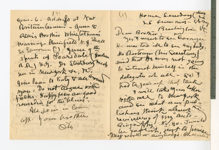Mune 6. Address at ter Bellis Prother Whightness Marriage Plainfield A.g. Shall Se Laurence (?) June 9 th R.R.J M.Y. Dr Stockburg may sur in Mudgork tr, M. Jeux lace to katy Vale many Mon : Do not argue with folks. Nappy trey are good remadin for Milless. All Jour in low aff. Jour arother  $O_{4}$ 

(1) Home Sendry ("many 26 Summy- Styly Dean Brother is entire loi Un. He was to the to see any bady. the Berlocuse (his Secretary) to interest minself in the delegates at all - soy had tageriant that tack. I said late 4 cm taken with rach to sharport and see what day putlisters, think about the recritering of my auto-Biggathy. No. 10. Jwould - meg work or anythings. Basecute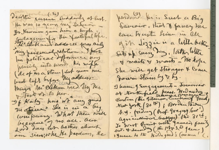death came suddenly at last. He was 10 years my Selecar Dr Newman gain time a high. Sycapement de Min Kashifal Me. My personal relation - I have tus political defense a man prainly into wards. Ris nife (de et as a stamme ) sot mean nu but left before My adding Mayor Mi Olkan red. Ty hes. If Kaly has with any good motive" Ske is in a big company. What then will our sino; when the pardous, the

pardame. He is Such a Big Savoir, that I favory her can trust him in all gir dezzu na little better Sito up seen day, latter little of maits of marks - We hope She will get Stronger & Come Journ Hain by V by. 1) have geoggements - Jouannes New york (30 th); Borden lady A.g. freday (Arof. grayag. Gal) agreemention (botter) the 31st; Je west Parist with James facily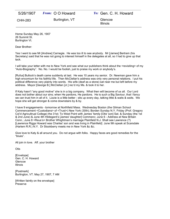|  |  | 5/26/1907 |  |  |  |  |
|--|--|-----------|--|--|--|--|
|--|--|-----------|--|--|--|--|

CHH-283

Burlington, VT

To: Gen. C. H. Howard

Glencoe Illinois

Home Sunday May 26, 1907 26 Summit St. Burlington Vt.

Dear Brother:

Yes I went to see Mr [Andrew] Carnegie. He was too ill to see anybody. Mr [James] Bertram (his Secretary) said that he was not going to interest himself in the delegates at all, so I had to give up that tack.

I will take your letter with me to New York and see what our publishers think about the <revisiting> of my "Auto-Biography". No. No. I would be foolish, just to praise my work or anybody's.

[Rufus] Bullock's death came suddenly at last. He was 10 years my senior. Dr. Newman gave him a high encomium for his faithful life. Then McClellan's address was only very personal relations. I put his political difference very plainly into words. His wife (deaf as a stone) sat near me but left before my address. Mayor [George B.] McClellan [Jr.] rec'd my Ms. & took it to her.

If Katy hasn't "any good motive" she is in a big company. What then will become of us all. Our Lord does not bother about our sins; when He pardons, He pardons. He is such a Big Saviour, that I fancy we can trust him in all of it. Lizzie is a little better - sits up every day, talking little & waits & waits. We hope she will get stronger & come downstairs by & by.

I have 9 engagements - tomorrow at Northfield Mass. Wednesday Boston (the Gilman School Commencement <Custodians> of <Trust>) New York (30th); Borden Sunday N.Y. Friday (Prof. Gregory Col'd Agricultrual College) the 31st; To West Point with James' family [Otis' son] Sat. & Sunday (the 1st & 2nd June) & June 4th Hildegard's [James' daughter] Commenc; June 6 - Address at New Britain Conn.; June 8 <Reus's> Brother Whightman's marriage Plainfield N.J. Shall see Lawrence (?) [Lawrence Riggs Howard was Charles' son and was living in Plainfield] June 9th speak at Scarsdale (Harlem R.R.) N.Y. Dr Stookberry meets me in New York &c &c.

Give love to Katy & all around you. Do not argue with folks. Happy faces are good remedies for the "blues".

All join in love. Aff. your brother

**Otis** 

[Envelope] Gen. C. H. Howard Glencoe Illinois

[Postmark] Burlington, VT. May 27, 1907, 7 AM

[Written faintly on the envelope] Preserve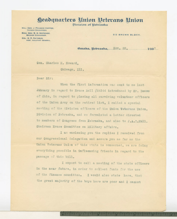## Headquarters Union Veterans Union

Division of Nebraska

MAJ. GEN. J. FRANCIS HOPPER. DIVISION COMMANDER BRIG, GEN. B. G. MCKENZIE. **BRIGADE COMMANDER.** COL. G. R. RATHBUN. ASST, ADJUTANT GENERAL.

512 BROWN BLOCK.

Omaha, Nebraska, Nov. 22, 1907

Gen. Charles H. Howard,

Chicago, Ill.

Dear Sir:

When the first information was sent to me last January in regard to House Roll #24544 introduced by Mr. Dawes of Ohio, in regard to placing all surviving volunteer officers of the Union Army on the retired list, I called a special meeting of the division officers of the Union Veterans Union, Division of Nebraska, and we formulated a letter directed to members of Congress from Nebraska, and also to J.A.T.Hull, Chairman House Committee on Military affairs.

I am enclosing you the replies I received from our Congressional delegation and assure you as far as the Union Veterans Union of this state is concerned, we are doing everything possible in influencing friends in regard to the passage of this bill.

I expect to call a meeting of the state officers in the near future, in order to collect funds for the use of the finance committee. I would also state here, that the great majority of the boys here are poor and I cannot

when the brill system the art material system was contact in use of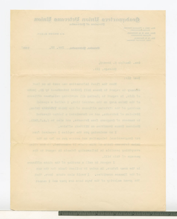## Mendunariers Union Ueterans Union

odenvois la noisbuit

MAL GEN & THANGIS HOPPER

OOL W. WATHERS .

Outche, Rebreath, Nov. 28, VDRI

> Con. Charles H. Hower . III yogasidd

> > puil ysed

That the first information was new to me in sewed all we benubertat Mebit flog escol of braset af grandet synchic restaulov anivivum lis antosin of brager al , oldo lo Dilocon a bottan I bott bethiem edi mo murt noinu odl To , noind enameded noind ed: le sveelle notairib ont le publops hotosylb nettel a betainmyol ow has , standed to moletti , IInn. T.A. 5 of oals and , siasided moth second to success of .anistis gratifik mo soft mano savod namniado

this aun as cheminones of which said to modul anouncer means eth of brager at shaelth galanesitat at eldisang gaintyreve affid nidd to spensed

not beviseen I asilget add not antacione mad

ose off and sharp doelloo of sebto at ,enniut team ent at dadd , anad adala osla himos I destihumoo annamil add to

فللمستعاظ والمستوات والمستعمل والمستعاد والمستعاد المستوات والمتواصل

 $\epsilon$  ,  $\frac{\partial}{\partial t}$ 

x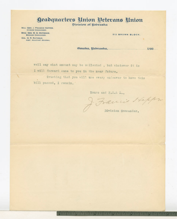## Headquarters Union Peterans Union

Division of Nebraska

MAJ. GEN. J. FRANCIS HOPPER. DIVISION COMMANDER. BRIG. GEN. B. G. MCKENZIE. **BRIGADE COMMANDER.** COL. G. R. RATHBUN. ASST. ADJUTANT GENERAL.

512 BROWN BLOCK.

Gmaha, Nebraska,

190

well say what amount may be collected, but whatever it is I will forward same to you in the near future.

Trusting that you will use every endeavor to have this bill passed, I remain,

Yours and F.C. & L.,

Fancis Happy

Division Commander.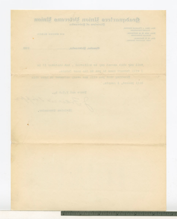## Hendymariers Union Deterans Union

ndenvdsif to moleiul@

HAL GEN. J. PIANCIS HOPPER BRIS, GEN B. G. MONENZIE, 

 $\sim$ 

A.

**SEPT** Cumina, Rebrasha,

> al ji tavetada dud . Sedbellop ed tan taunas dadw tes Ilow. . evalue wear ont at mog of seas beauto? IPRE I

bill passed, I rempts.

لتأميح المساويات والمساوي المسامر والمسامر والمسامر

... L.D.3 Sna stuoy

renns mar noralwid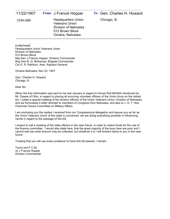| 11/22/1907     | <i>From:</i> J Francis Hopper                                                                                    | To: Gen. Charles H. Howard |
|----------------|------------------------------------------------------------------------------------------------------------------|----------------------------|
| <b>CHH-284</b> | <b>Headquarters Union</b><br><b>Veterans Union</b><br>Division of Nebraska<br>512 Brown Block<br>Omaha, Nebraska | Chicago, III.              |

[Letterhead] Headquarters Union Veterans Union Division of Nebraska 512 Brown Block Maj Gen J Francis Hopper, Division Commander Brig Gen B. G. McKenzie, Brigade Commander Col G. R. Rathbun, Asst. Adjutant General

Omaha Nebraska, Nov 22, 1907

Gen. Charles H. Howard, Chicago, Ill.

Dear Sir:

When the first information was sent to me last January in regard to House Roll #24544 introduced by Mr. Dawes of Ohio, in regard to placing all surviving volunteer officers of the Union Army on the retired list, I called a special meeting of the division officers of the Union Veterans Union, Division of Nebraska, and we formulated a letter directed to members of Congress from Nebraska, and also to J. A. T. Hull, Chairman House Committee on Military Affairs.

I am enclosing you the replies I received from our Congressional delegation and assure you as far as the Union Veterans Union of this state is concerned, we are doing everything possible in influencing riends in regard to the passage of this bill.

I expect to call a meeting of the state officers in the near future, in order to collect funds for the use of the finance committee. I would also state here, that the great majority of the boys here are poor and I cannot well say what amount may be collected, but whatever it is I will forward same to you in the near future.

Trusting that you will use every endeavor to have this bill passed, I remain,

Yours and F.C.&L. /s/ J Francis Hopper Division Commander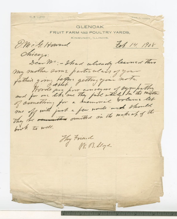W. B. LLOYD SEO. T. LLOYD GLENOAK FRUIT FARM AND POULTRY YARDS. KINMUNDY, ILLINOIS. Mc G. Howard Feb. 14. 1908 Chicago: Dear Mc: - Shad already learned this my mother some particulars of your and for one like me they fail wherly. In the matter of something for a memorial brokum let me off with just a few words and should They be amitted omitted in the makeah of the book to well. Thy Friend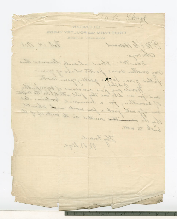Two B Sloyd GLENOAK FRUIT FARM AND POULTRY YARDS. KINNUNDY, ILLINOIS. Me F. Howard tol 14. 1908 Chicogo: Dear Me: - Ihad wheads learned there my mother ame partie at any of y father's going being getting your mother. fords are from conveyors of approperties memorie Wollains let availlain, for of with just a few words and should maisters mitted in the make of of the and book to well. Thy Friend M. B. Und.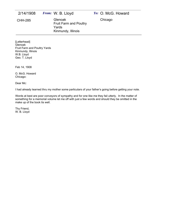| 2/14/1908 |  |  |  |
|-----------|--|--|--|
|-----------|--|--|--|

*From: W.B.Lloyd* 

To: O. McG. Howard

CHH-285

Glenoak Fruit Farm and Poultry Yards Kinmundy, Illinois

Chicago

[Letterhead] Glenoak Fruit Farm and Poultry Yards Kinmundy, Illinois W.B. Lloyd Geo. T. Lloyd

Feb 14, 1908

O. McG. Howard Chicago:

Dear Mc:

I had already learned thru my mother some particulars of your father's going before getting your note.

Words at best are poor conveyors of sympathy and for one like me they fail utterly. In the matter of something for a memorial volume let me off with just a few words and should they be omitted in the make up of the book tis well.

Thy Friend, W. B. Lloyd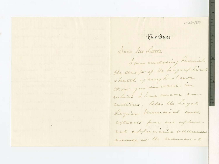$1 - 26 - 1910$ · Fair Oaks. Dear Me Little Lave cucleosing hermit the death of the beige of him sketch of my husband that you sever me, in redich 2 have made carrections. Also the day al Legion Memorial and extracts from one of sear-200 apperciative addresses made at the memorial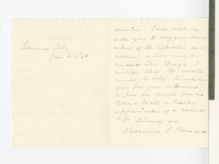**Service Committee Committee State** Glenna Lel.  $\int$  an. 26/10

service. Liese mil en. able you to suggest some. whoe of the affection and eateen which were ac cardide him though I realize that the matic must be being. Thanking you for your cudrooms! to hue on record fachis alma matic a loseing appearante of a volund life Sincerely yes ... Kathaine F. Nou and